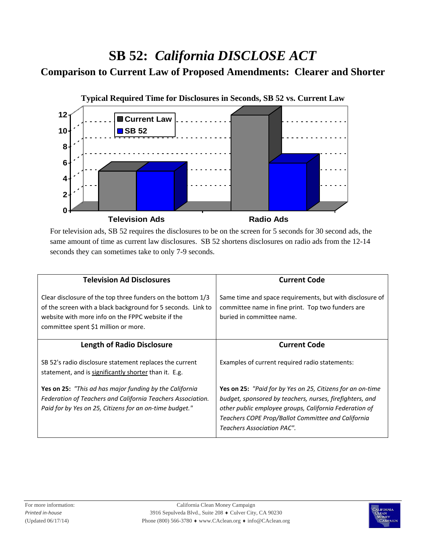## **SB 52:** *California DISCLOSE ACT*

## **Comparison to Current Law of Proposed Amendments: Clearer and Shorter**



For television ads, SB 52 requires the disclosures to be on the screen for 5 seconds for 30 second ads, the same amount of time as current law disclosures. SB 52 shortens disclosures on radio ads from the 12-14 seconds they can sometimes take to only 7-9 seconds.

| <b>Television Ad Disclosures</b>                                                                                                                                                                                         | <b>Current Code</b>                                                                                                                                                                                                                                                  |
|--------------------------------------------------------------------------------------------------------------------------------------------------------------------------------------------------------------------------|----------------------------------------------------------------------------------------------------------------------------------------------------------------------------------------------------------------------------------------------------------------------|
| Clear disclosure of the top three funders on the bottom 1/3<br>of the screen with a black background for 5 seconds. Link to<br>website with more info on the FPPC website if the<br>committee spent \$1 million or more. | Same time and space requirements, but with disclosure of<br>committee name in fine print. Top two funders are<br>buried in committee name.                                                                                                                           |
| <b>Length of Radio Disclosure</b>                                                                                                                                                                                        | <b>Current Code</b>                                                                                                                                                                                                                                                  |
| SB 52's radio disclosure statement replaces the current<br>statement, and is significantly shorter than it. E.g.                                                                                                         | Examples of current required radio statements:                                                                                                                                                                                                                       |
| <b>Yes on 25:</b> "This ad has major funding by the California<br>Federation of Teachers and California Teachers Association.<br>Paid for by Yes on 25, Citizens for an on-time budget."                                 | Yes on 25: "Paid for by Yes on 25, Citizens for an on-time<br>budget, sponsored by teachers, nurses, firefighters, and<br>other public employee groups, California Federation of<br>Teachers COPE Prop/Ballot Committee and California<br>Teachers Association PAC". |